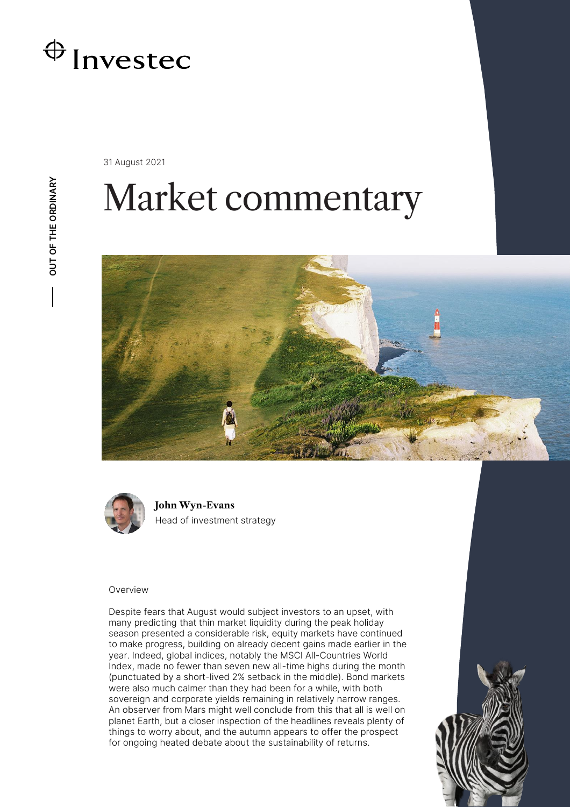

31 August 2021

# Market commentary





**John Wyn-Evans** Head of investment strategy

### Overview

Despite fears that August would subject investors to an upset, with many predicting that thin market liquidity during the peak holiday season presented a considerable risk, equity markets have continued to make progress, building on already decent gains made earlier in the year. Indeed, global indices, notably the MSCI All-Countries World Index, made no fewer than seven new all-time highs during the month (punctuated by a short-lived 2% setback in the middle). Bond markets were also much calmer than they had been for a while, with both sovereign and corporate yields remaining in relatively narrow ranges. An observer from Mars might well conclude from this that all is well on planet Earth, but a closer inspection of the headlines reveals plenty of things to worry about, and the autumn appears to offer the prospect for ongoing heated debate about the sustainability of returns.

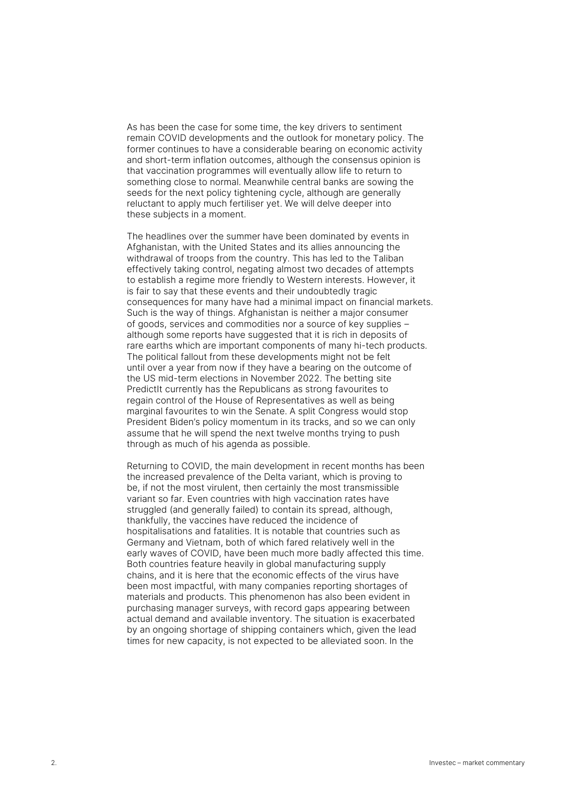As has been the case for some time, the key drivers to sentiment remain COVID developments and the outlook for monetary policy. The former continues to have a considerable bearing on economic activity and short-term inflation outcomes, although the consensus opinion is that vaccination programmes will eventually allow life to return to something close to normal. Meanwhile central banks are sowing the seeds for the next policy tightening cycle, although are generally reluctant to apply much fertiliser yet. We will delve deeper into these subjects in a moment.

The headlines over the summer have been dominated by events in Afghanistan, with the United States and its allies announcing the withdrawal of troops from the country. This has led to the Taliban effectively taking control, negating almost two decades of attempts to establish a regime more friendly to Western interests. However, it is fair to say that these events and their undoubtedly tragic consequences for many have had a minimal impact on financial markets. Such is the way of things. Afghanistan is neither a major consumer of goods, services and commodities nor a source of key supplies – although some reports have suggested that it is rich in deposits of rare earths which are important components of many hi-tech products. The political fallout from these developments might not be felt until over a year from now if they have a bearing on the outcome of the US mid-term elections in November 2022. The betting site PredictIt currently has the Republicans as strong favourites to regain control of the House of Representatives as well as being marginal favourites to win the Senate. A split Congress would stop President Biden's policy momentum in its tracks, and so we can only assume that he will spend the next twelve months trying to push through as much of his agenda as possible.

Returning to COVID, the main development in recent months has been the increased prevalence of the Delta variant, which is proving to be, if not the most virulent, then certainly the most transmissible variant so far. Even countries with high vaccination rates have struggled (and generally failed) to contain its spread, although, thankfully, the vaccines have reduced the incidence of hospitalisations and fatalities. It is notable that countries such as Germany and Vietnam, both of which fared relatively well in the early waves of COVID, have been much more badly affected this time. Both countries feature heavily in global manufacturing supply chains, and it is here that the economic effects of the virus have been most impactful, with many companies reporting shortages of materials and products. This phenomenon has also been evident in purchasing manager surveys, with record gaps appearing between actual demand and available inventory. The situation is exacerbated by an ongoing shortage of shipping containers which, given the lead times for new capacity, is not expected to be alleviated soon. In the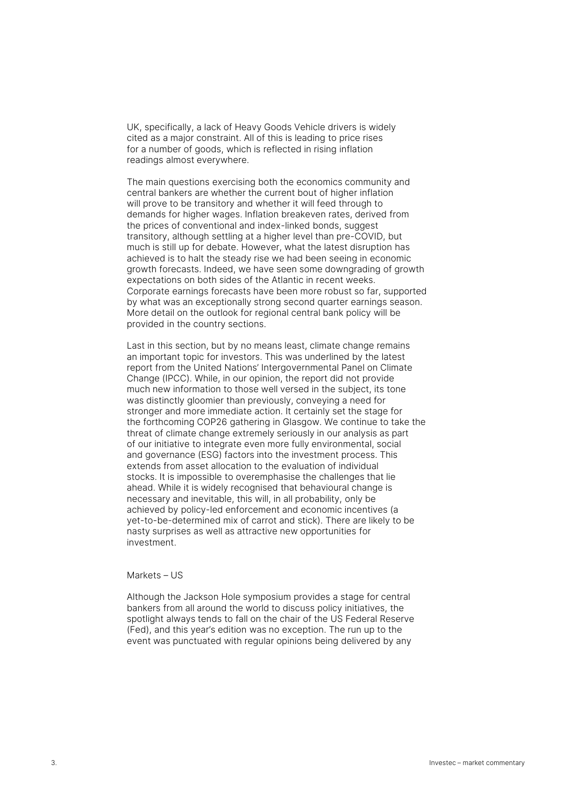UK, specifically, a lack of Heavy Goods Vehicle drivers is widely cited as a major constraint. All of this is leading to price rises for a number of goods, which is reflected in rising inflation readings almost everywhere.

The main questions exercising both the economics community and central bankers are whether the current bout of higher inflation will prove to be transitory and whether it will feed through to demands for higher wages. Inflation breakeven rates, derived from the prices of conventional and index-linked bonds, suggest transitory, although settling at a higher level than pre-COVID, but much is still up for debate. However, what the latest disruption has achieved is to halt the steady rise we had been seeing in economic growth forecasts. Indeed, we have seen some downgrading of growth expectations on both sides of the Atlantic in recent weeks. Corporate earnings forecasts have been more robust so far, supported by what was an exceptionally strong second quarter earnings season. More detail on the outlook for regional central bank policy will be provided in the country sections.

Last in this section, but by no means least, climate change remains an important topic for investors. This was underlined by the latest report from the United Nations' Intergovernmental Panel on Climate Change (IPCC). While, in our opinion, the report did not provide much new information to those well versed in the subject, its tone was distinctly gloomier than previously, conveying a need for stronger and more immediate action. It certainly set the stage for the forthcoming COP26 gathering in Glasgow. We continue to take the threat of climate change extremely seriously in our analysis as part of our initiative to integrate even more fully environmental, social and governance (ESG) factors into the investment process. This extends from asset allocation to the evaluation of individual stocks. It is impossible to overemphasise the challenges that lie ahead. While it is widely recognised that behavioural change is necessary and inevitable, this will, in all probability, only be achieved by policy-led enforcement and economic incentives (a yet-to-be-determined mix of carrot and stick). There are likely to be nasty surprises as well as attractive new opportunities for investment.

# Markets – US

Although the Jackson Hole symposium provides a stage for central bankers from all around the world to discuss policy initiatives, the spotlight always tends to fall on the chair of the US Federal Reserve (Fed), and this year's edition was no exception. The run up to the event was punctuated with regular opinions being delivered by any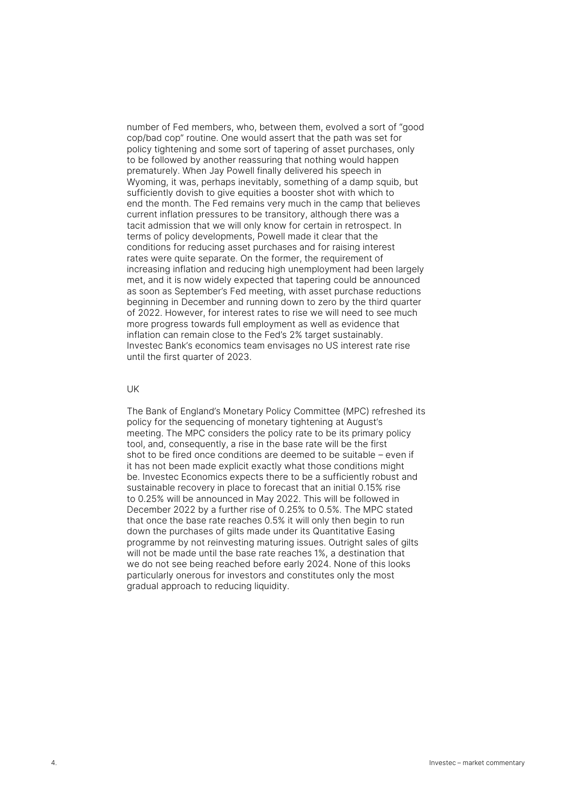number of Fed members, who, between them, evolved a sort of "good cop/bad cop" routine. One would assert that the path was set for policy tightening and some sort of tapering of asset purchases, only to be followed by another reassuring that nothing would happen prematurely. When Jay Powell finally delivered his speech in Wyoming, it was, perhaps inevitably, something of a damp squib, but sufficiently dovish to give equities a booster shot with which to end the month. The Fed remains very much in the camp that believes current inflation pressures to be transitory, although there was a tacit admission that we will only know for certain in retrospect. In terms of policy developments, Powell made it clear that the conditions for reducing asset purchases and for raising interest rates were quite separate. On the former, the requirement of increasing inflation and reducing high unemployment had been largely met, and it is now widely expected that tapering could be announced as soon as September's Fed meeting, with asset purchase reductions beginning in December and running down to zero by the third quarter of 2022. However, for interest rates to rise we will need to see much more progress towards full employment as well as evidence that inflation can remain close to the Fed's 2% target sustainably. Investec Bank's economics team envisages no US interest rate rise until the first quarter of 2023.

#### UK

The Bank of England's Monetary Policy Committee (MPC) refreshed its policy for the sequencing of monetary tightening at August's meeting. The MPC considers the policy rate to be its primary policy tool, and, consequently, a rise in the base rate will be the first shot to be fired once conditions are deemed to be suitable – even if it has not been made explicit exactly what those conditions might be. Investec Economics expects there to be a sufficiently robust and sustainable recovery in place to forecast that an initial 0.15% rise to 0.25% will be announced in May 2022. This will be followed in December 2022 by a further rise of 0.25% to 0.5%. The MPC stated that once the base rate reaches 0.5% it will only then begin to run down the purchases of gilts made under its Quantitative Easing programme by not reinvesting maturing issues. Outright sales of gilts will not be made until the base rate reaches 1%, a destination that we do not see being reached before early 2024. None of this looks particularly onerous for investors and constitutes only the most gradual approach to reducing liquidity.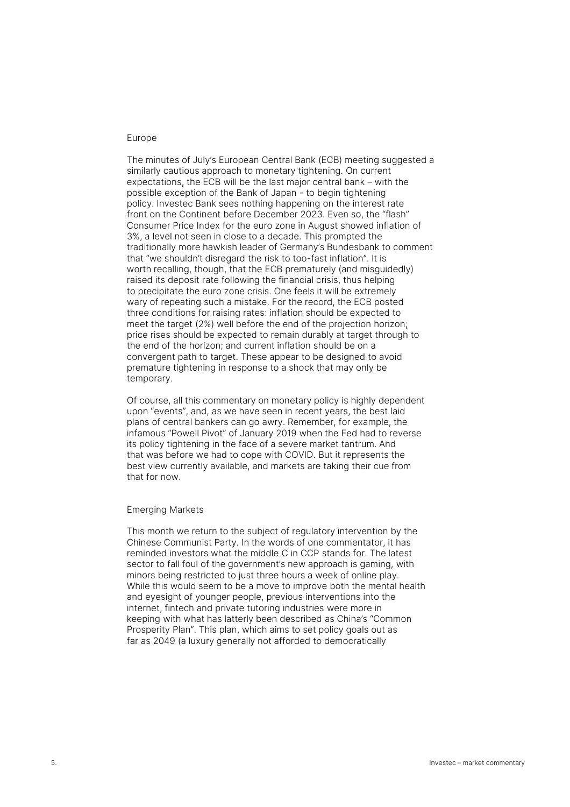# Europe

The minutes of July's European Central Bank (ECB) meeting suggested a similarly cautious approach to monetary tightening. On current expectations, the ECB will be the last major central bank – with the possible exception of the Bank of Japan - to begin tightening policy. Investec Bank sees nothing happening on the interest rate front on the Continent before December 2023. Even so, the "flash" Consumer Price Index for the euro zone in August showed inflation of 3%, a level not seen in close to a decade. This prompted the traditionally more hawkish leader of Germany's Bundesbank to comment that "we shouldn't disregard the risk to too-fast inflation". It is worth recalling, though, that the ECB prematurely (and misguidedly) raised its deposit rate following the financial crisis, thus helping to precipitate the euro zone crisis. One feels it will be extremely wary of repeating such a mistake. For the record, the ECB posted three conditions for raising rates: inflation should be expected to meet the target (2%) well before the end of the projection horizon; price rises should be expected to remain durably at target through to the end of the horizon; and current inflation should be on a convergent path to target. These appear to be designed to avoid premature tightening in response to a shock that may only be temporary.

Of course, all this commentary on monetary policy is highly dependent upon "events", and, as we have seen in recent years, the best laid plans of central bankers can go awry. Remember, for example, the infamous "Powell Pivot" of January 2019 when the Fed had to reverse its policy tightening in the face of a severe market tantrum. And that was before we had to cope with COVID. But it represents the best view currently available, and markets are taking their cue from that for now.

# Emerging Markets

This month we return to the subject of regulatory intervention by the Chinese Communist Party. In the words of one commentator, it has reminded investors what the middle C in CCP stands for. The latest sector to fall foul of the government's new approach is gaming, with minors being restricted to just three hours a week of online play. While this would seem to be a move to improve both the mental health and eyesight of younger people, previous interventions into the internet, fintech and private tutoring industries were more in keeping with what has latterly been described as China's "Common Prosperity Plan". This plan, which aims to set policy goals out as far as 2049 (a luxury generally not afforded to democratically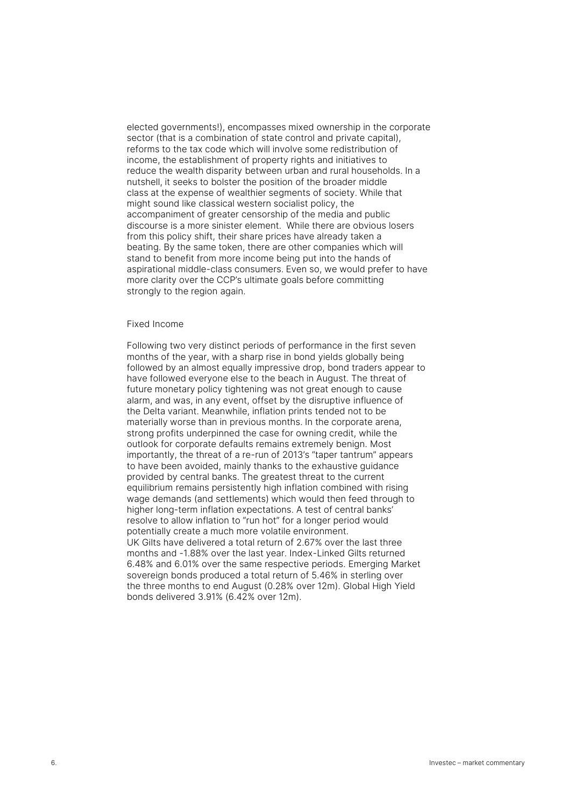elected governments!), encompasses mixed ownership in the corporate sector (that is a combination of state control and private capital), reforms to the tax code which will involve some redistribution of income, the establishment of property rights and initiatives to reduce the wealth disparity between urban and rural households. In a nutshell, it seeks to bolster the position of the broader middle class at the expense of wealthier segments of society. While that might sound like classical western socialist policy, the accompaniment of greater censorship of the media and public discourse is a more sinister element. While there are obvious losers from this policy shift, their share prices have already taken a beating. By the same token, there are other companies which will stand to benefit from more income being put into the hands of aspirational middle-class consumers. Even so, we would prefer to have more clarity over the CCP's ultimate goals before committing strongly to the region again.

#### Fixed Income

Following two very distinct periods of performance in the first seven months of the year, with a sharp rise in bond yields globally being followed by an almost equally impressive drop, bond traders appear to have followed everyone else to the beach in August. The threat of future monetary policy tightening was not great enough to cause alarm, and was, in any event, offset by the disruptive influence of the Delta variant. Meanwhile, inflation prints tended not to be materially worse than in previous months. In the corporate arena, strong profits underpinned the case for owning credit, while the outlook for corporate defaults remains extremely benign. Most importantly, the threat of a re-run of 2013's "taper tantrum" appears to have been avoided, mainly thanks to the exhaustive guidance provided by central banks. The greatest threat to the current equilibrium remains persistently high inflation combined with rising wage demands (and settlements) which would then feed through to higher long-term inflation expectations. A test of central banks' resolve to allow inflation to "run hot" for a longer period would potentially create a much more volatile environment. UK Gilts have delivered a total return of 2.67% over the last three months and -1.88% over the last year. Index-Linked Gilts returned 6.48% and 6.01% over the same respective periods. Emerging Market sovereign bonds produced a total return of 5.46% in sterling over the three months to end August (0.28% over 12m). Global High Yield bonds delivered 3.91% (6.42% over 12m).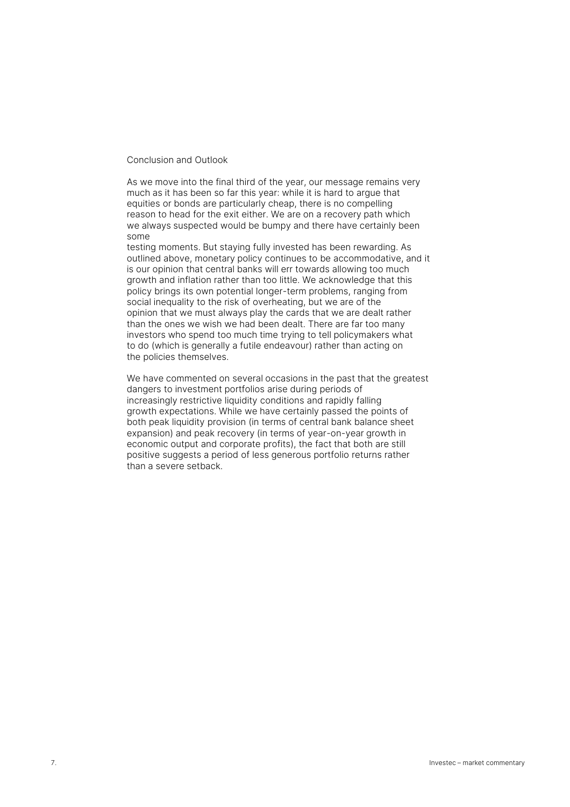### Conclusion and Outlook

As we move into the final third of the year, our message remains very much as it has been so far this year: while it is hard to argue that equities or bonds are particularly cheap, there is no compelling reason to head for the exit either. We are on a recovery path which we always suspected would be bumpy and there have certainly been some

testing moments. But staying fully invested has been rewarding. As outlined above, monetary policy continues to be accommodative, and it is our opinion that central banks will err towards allowing too much growth and inflation rather than too little. We acknowledge that this policy brings its own potential longer-term problems, ranging from social inequality to the risk of overheating, but we are of the opinion that we must always play the cards that we are dealt rather than the ones we wish we had been dealt. There are far too many investors who spend too much time trying to tell policymakers what to do (which is generally a futile endeavour) rather than acting on the policies themselves.

We have commented on several occasions in the past that the greatest dangers to investment portfolios arise during periods of increasingly restrictive liquidity conditions and rapidly falling growth expectations. While we have certainly passed the points of both peak liquidity provision (in terms of central bank balance sheet expansion) and peak recovery (in terms of year-on-year growth in economic output and corporate profits), the fact that both are still positive suggests a period of less generous portfolio returns rather than a severe setback.